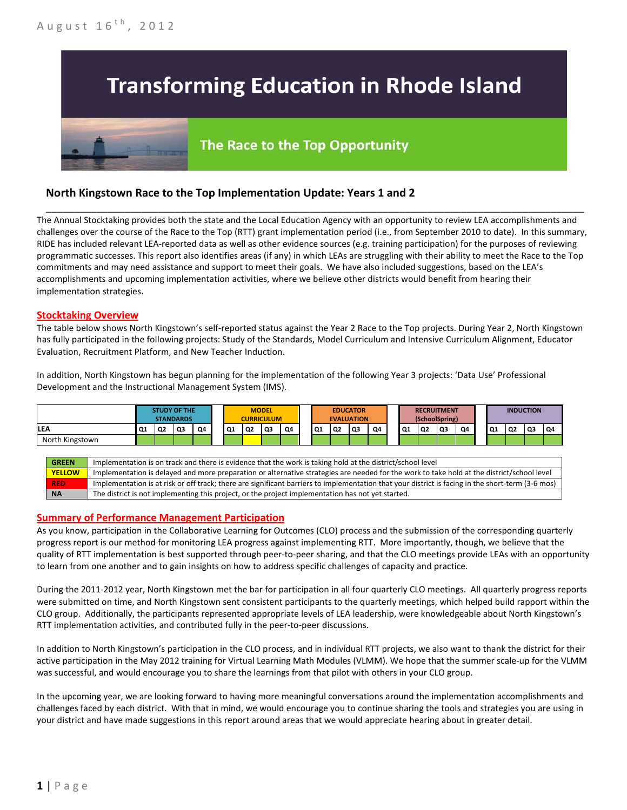# **Transforming Education in Rhode Island**

## The Race to the Top Opportunity

### **North Kingstown Race to the Top Implementation Update: Years 1 and 2**

The Annual Stocktaking provides both the state and the Local Education Agency with an opportunity to review LEA accomplishments and challenges over the course of the Race to the Top (RTT) grant implementation period (i.e., from September 2010 to date). In this summary, RIDE has included relevant LEA-reported data as well as other evidence sources (e.g. training participation) for the purposes of reviewing programmatic successes. This report also identifies areas (if any) in which LEAs are struggling with their ability to meet the Race to the Top commitments and may need assistance and support to meet their goals. We have also included suggestions, based on the LEA's accomplishments and upcoming implementation activities, where we believe other districts would benefit from hearing their implementation strategies.

\_\_\_\_\_\_\_\_\_\_\_\_\_\_\_\_\_\_\_\_\_\_\_\_\_\_\_\_\_\_\_\_\_\_\_\_\_\_\_\_\_\_\_\_\_\_\_\_\_\_\_\_\_\_\_\_\_\_\_\_\_\_\_\_\_\_\_\_\_\_\_\_\_\_\_\_\_\_\_\_\_\_\_\_\_\_\_\_\_\_\_\_\_\_\_\_

#### **Stocktaking Overview**

The table below shows North Kingstown's self-reported status against the Year 2 Race to the Top projects. During Year 2, North Kingstown has fully participated in the following projects: Study of the Standards, Model Curriculum and Intensive Curriculum Alignment, Educator Evaluation, Recruitment Platform, and New Teacher Induction.

In addition, North Kingstown has begun planning for the implementation of the following Year 3 projects: 'Data Use' Professional Development and the Instructional Management System (IMS).



#### **Summary of Performance Management Participation**

As you know, participation in the Collaborative Learning for Outcomes (CLO) process and the submission of the corresponding quarterly progress report is our method for monitoring LEA progress against implementing RTT. More importantly, though, we believe that the quality of RTT implementation is best supported through peer-to-peer sharing, and that the CLO meetings provide LEAs with an opportunity to learn from one another and to gain insights on how to address specific challenges of capacity and practice.

During the 2011-2012 year, North Kingstown met the bar for participation in all four quarterly CLO meetings. All quarterly progress reports were submitted on time, and North Kingstown sent consistent participants to the quarterly meetings, which helped build rapport within the CLO group. Additionally, the participants represented appropriate levels of LEA leadership, were knowledgeable about North Kingstown's RTT implementation activities, and contributed fully in the peer-to-peer discussions.

In addition to North Kingstown's participation in the CLO process, and in individual RTT projects, we also want to thank the district for their active participation in the May 2012 training for Virtual Learning Math Modules (VLMM). We hope that the summer scale-up for the VLMM was successful, and would encourage you to share the learnings from that pilot with others in your CLO group.

In the upcoming year, we are looking forward to having more meaningful conversations around the implementation accomplishments and challenges faced by each district. With that in mind, we would encourage you to continue sharing the tools and strategies you are using in your district and have made suggestions in this report around areas that we would appreciate hearing about in greater detail.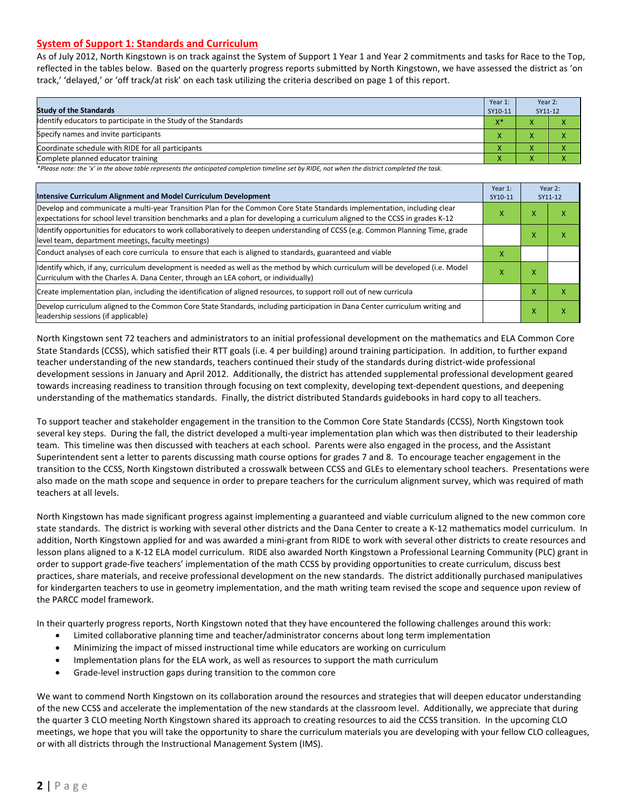#### **System of Support 1: Standards and Curriculum**

As of July 2012, North Kingstown is on track against the System of Support 1 Year 1 and Year 2 commitments and tasks for Race to the Top, reflected in the tables below. Based on the quarterly progress reports submitted by North Kingstown, we have assessed the district as 'on track,' 'delayed,' or 'off track/at risk' on each task utilizing the criteria described on page 1 of this report.

| <b>Study of the Standards</b>                                   | Year 1:<br>SY10-11 | Year 2:<br>SY11-12 |  |
|-----------------------------------------------------------------|--------------------|--------------------|--|
| Identify educators to participate in the Study of the Standards | $X^*$              |                    |  |
| Specify names and invite participants                           |                    |                    |  |
| Coordinate schedule with RIDE for all participants              |                    | $\mathbf{\Lambda}$ |  |
| Complete planned educator training                              |                    |                    |  |

*\*Please note: the 'x' in the above table represents the anticipated completion timeline set by RIDE, not when the district completed the task.*

| Intensive Curriculum Alignment and Model Curriculum Development                                                                                                                                                                                           |  |   | Year 2:<br>SY11-12 |  |
|-----------------------------------------------------------------------------------------------------------------------------------------------------------------------------------------------------------------------------------------------------------|--|---|--------------------|--|
| Develop and communicate a multi-year Transition Plan for the Common Core State Standards implementation, including clear<br>expectations for school level transition benchmarks and a plan for developing a curriculum aligned to the CCSS in grades K-12 |  |   | x                  |  |
| Identify opportunities for educators to work collaboratively to deepen understanding of CCSS (e.g. Common Planning Time, grade<br>level team, department meetings, faculty meetings)                                                                      |  |   | x                  |  |
| Conduct analyses of each core curricula to ensure that each is aligned to standards, guaranteed and viable                                                                                                                                                |  |   |                    |  |
| ldentify which, if any, curriculum development is needed as well as the method by which curriculum will be developed (i.e. Model<br>Curriculum with the Charles A. Dana Center, through an LEA cohort, or individually)                                   |  | x |                    |  |
| Create implementation plan, including the identification of aligned resources, to support roll out of new curricula                                                                                                                                       |  |   | x                  |  |
| Develop curriculum aligned to the Common Core State Standards, including participation in Dana Center curriculum writing and<br>leadership sessions (if applicable)                                                                                       |  | Χ | x                  |  |

North Kingstown sent 72 teachers and administrators to an initial professional development on the mathematics and ELA Common Core State Standards (CCSS), which satisfied their RTT goals (i.e. 4 per building) around training participation. In addition, to further expand teacher understanding of the new standards, teachers continued their study of the standards during district-wide professional development sessions in January and April 2012. Additionally, the district has attended supplemental professional development geared towards increasing readiness to transition through focusing on text complexity, developing text-dependent questions, and deepening understanding of the mathematics standards. Finally, the district distributed Standards guidebooks in hard copy to all teachers.

To support teacher and stakeholder engagement in the transition to the Common Core State Standards (CCSS), North Kingstown took several key steps. During the fall, the district developed a multi-year implementation plan which was then distributed to their leadership team. This timeline was then discussed with teachers at each school. Parents were also engaged in the process, and the Assistant Superintendent sent a letter to parents discussing math course options for grades 7 and 8. To encourage teacher engagement in the transition to the CCSS, North Kingstown distributed a crosswalk between CCSS and GLEs to elementary school teachers. Presentations were also made on the math scope and sequence in order to prepare teachers for the curriculum alignment survey, which was required of math teachers at all levels.

North Kingstown has made significant progress against implementing a guaranteed and viable curriculum aligned to the new common core state standards. The district is working with several other districts and the Dana Center to create a K-12 mathematics model curriculum. In addition, North Kingstown applied for and was awarded a mini-grant from RIDE to work with several other districts to create resources and lesson plans aligned to a K-12 ELA model curriculum. RIDE also awarded North Kingstown a Professional Learning Community (PLC) grant in order to support grade-five teachers' implementation of the math CCSS by providing opportunities to create curriculum, discuss best practices, share materials, and receive professional development on the new standards. The district additionally purchased manipulatives for kindergarten teachers to use in geometry implementation, and the math writing team revised the scope and sequence upon review of the PARCC model framework.

In their quarterly progress reports, North Kingstown noted that they have encountered the following challenges around this work:

- Limited collaborative planning time and teacher/administrator concerns about long term implementation
- Minimizing the impact of missed instructional time while educators are working on curriculum
- Implementation plans for the ELA work, as well as resources to support the math curriculum
- Grade-level instruction gaps during transition to the common core

We want to commend North Kingstown on its collaboration around the resources and strategies that will deepen educator understanding of the new CCSS and accelerate the implementation of the new standards at the classroom level. Additionally, we appreciate that during the quarter 3 CLO meeting North Kingstown shared its approach to creating resources to aid the CCSS transition. In the upcoming CLO meetings, we hope that you will take the opportunity to share the curriculum materials you are developing with your fellow CLO colleagues, or with all districts through the Instructional Management System (IMS).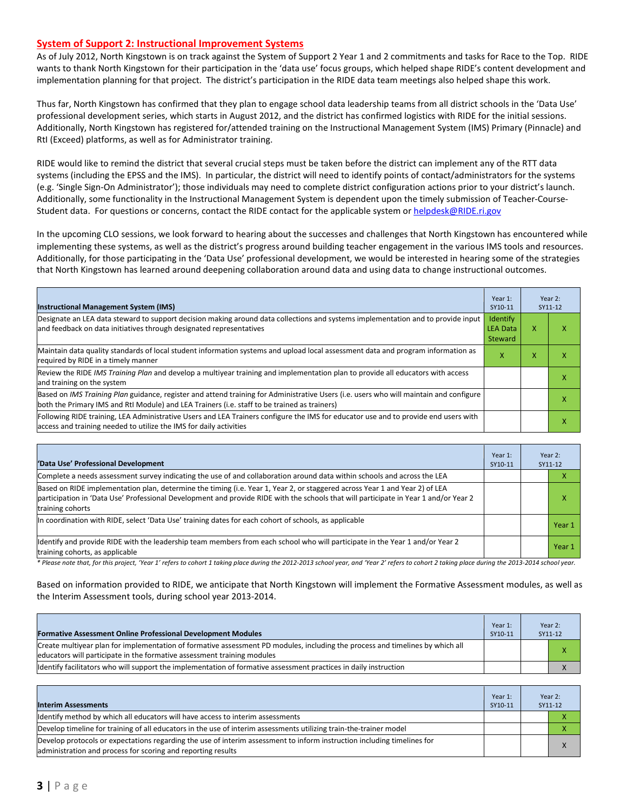#### **System of Support 2: Instructional Improvement Systems**

As of July 2012, North Kingstown is on track against the System of Support 2 Year 1 and 2 commitments and tasks for Race to the Top. RIDE wants to thank North Kingstown for their participation in the 'data use' focus groups, which helped shape RIDE's content development and implementation planning for that project. The district's participation in the RIDE data team meetings also helped shape this work.

Thus far, North Kingstown has confirmed that they plan to engage school data leadership teams from all district schools in the 'Data Use' professional development series, which starts in August 2012, and the district has confirmed logistics with RIDE for the initial sessions. Additionally, North Kingstown has registered for/attended training on the Instructional Management System (IMS) Primary (Pinnacle) and RtI (Exceed) platforms, as well as for Administrator training.

RIDE would like to remind the district that several crucial steps must be taken before the district can implement any of the RTT data systems (including the EPSS and the IMS). In particular, the district will need to identify points of contact/administrators for the systems (e.g. 'Single Sign-On Administrator'); those individuals may need to complete district configuration actions prior to your district's launch. Additionally, some functionality in the Instructional Management System is dependent upon the timely submission of Teacher-CourseStudent data. For questions or concerns, contact the RIDE contact for the applicable system o[r helpdesk@RIDE.ri.gov](mailto:helpdesk@RIDE.ri.gov)

In the upcoming CLO sessions, we look forward to hearing about the successes and challenges that North Kingstown has encountered while implementing these systems, as well as the district's progress around building teacher engagement in the various IMS tools and resources. Additionally, for those participating in the 'Data Use' professional development, we would be interested in hearing some of the strategies that North Kingstown has learned around deepening collaboration around data and using data to change instructional outcomes.

| <b>Instructional Management System (IMS)</b>                                                                                                                                                                                           | Year 1:<br>SY10-11                     |   | Year 2:<br>SY11-12 |
|----------------------------------------------------------------------------------------------------------------------------------------------------------------------------------------------------------------------------------------|----------------------------------------|---|--------------------|
| Designate an LEA data steward to support decision making around data collections and systems implementation and to provide input<br>and feedback on data initiatives through designated representatives                                | Identify<br><b>LEA Data</b><br>Steward | X |                    |
| Maintain data quality standards of local student information systems and upload local assessment data and program information as<br>required by RIDE in a timely manner                                                                |                                        | x |                    |
| Review the RIDE IMS Training Plan and develop a multiyear training and implementation plan to provide all educators with access<br>and training on the system                                                                          |                                        |   | x                  |
| Based on IMS Training Plan guidance, register and attend training for Administrative Users (i.e. users who will maintain and configure<br>both the Primary IMS and RtI Module) and LEA Trainers (i.e. staff to be trained as trainers) |                                        |   |                    |
| Following RIDE training, LEA Administrative Users and LEA Trainers configure the IMS for educator use and to provide end users with<br>access and training needed to utilize the IMS for daily activities                              |                                        |   | л                  |

| 'Data Use' Professional Development                                                                                                                                                                                                                                                     | Year 1:<br>SY10-11 | Year 2:<br>SY11-12 |
|-----------------------------------------------------------------------------------------------------------------------------------------------------------------------------------------------------------------------------------------------------------------------------------------|--------------------|--------------------|
| Complete a needs assessment survey indicating the use of and collaboration around data within schools and across the LEA                                                                                                                                                                |                    | ⋏                  |
| Based on RIDE implementation plan, determine the timing (i.e. Year 1, Year 2, or staggered across Year 1 and Year 2) of LEA<br>participation in 'Data Use' Professional Development and provide RIDE with the schools that will participate in Year 1 and/or Year 2<br>training cohorts |                    | χ                  |
| In coordination with RIDE, select 'Data Use' training dates for each cohort of schools, as applicable                                                                                                                                                                                   |                    | Year 1             |
| Identify and provide RIDE with the leadership team members from each school who will participate in the Year 1 and/or Year 2<br>training cohorts, as applicable                                                                                                                         |                    | Year 1             |

*\* Please note that, for this project, 'Year 1' refers to cohort 1 taking place during the 2012-2013 school year, and 'Year 2' refers to cohort 2 taking place during the 2013-2014 school year.*

Based on information provided to RIDE, we anticipate that North Kingstown will implement the Formative Assessment modules, as well as the Interim Assessment tools, during school year 2013-2014.

| <b>Formative Assessment Online Professional Development Modules</b>                                                                                                                                      | Year 1:<br>SY10-11 | Year 2:<br>SY11-12 |
|----------------------------------------------------------------------------------------------------------------------------------------------------------------------------------------------------------|--------------------|--------------------|
| Create multivear plan for implementation of formative assessment PD modules, including the process and timelines by which all<br>educators will participate in the formative assessment training modules |                    |                    |
| ldentify facilitators who will support the implementation of formative assessment practices in daily instruction                                                                                         |                    |                    |

| <b>Interim Assessments</b>                                                                                                                                                              | Year 1:<br>SY10-11 | Year 2:<br>SY11-12 |          |
|-----------------------------------------------------------------------------------------------------------------------------------------------------------------------------------------|--------------------|--------------------|----------|
| Identify method by which all educators will have access to interim assessments                                                                                                          |                    |                    |          |
| Develop timeline for training of all educators in the use of interim assessments utilizing train-the-trainer model                                                                      |                    |                    |          |
| Develop protocols or expectations regarding the use of interim assessment to inform instruction including timelines for<br>administration and process for scoring and reporting results |                    |                    | $\times$ |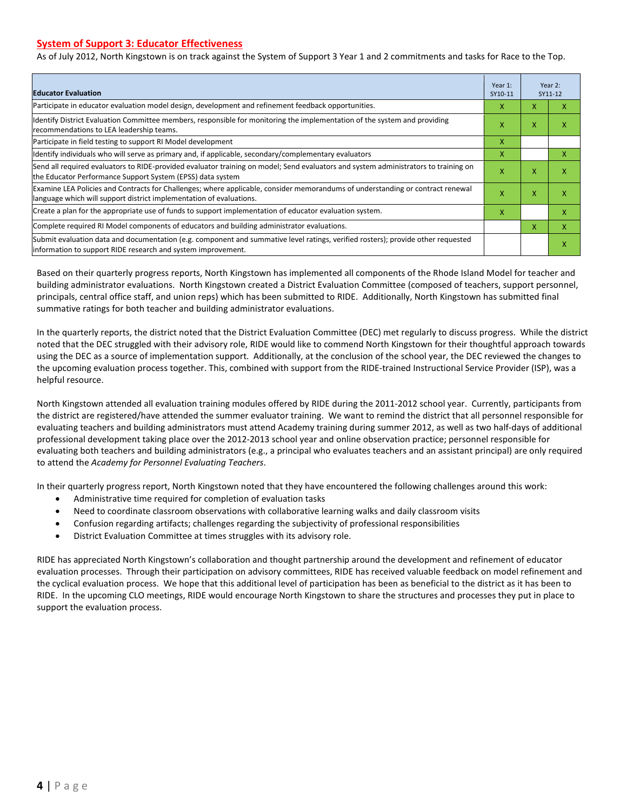#### **System of Support 3: Educator Effectiveness**

As of July 2012, North Kingstown is on track against the System of Support 3 Year 1 and 2 commitments and tasks for Race to the Top.

| <b>Educator Evaluation</b>                                                                                                                                                                            |   |                           | Year 2:<br>SY11-12        |  |
|-------------------------------------------------------------------------------------------------------------------------------------------------------------------------------------------------------|---|---------------------------|---------------------------|--|
| Participate in educator evaluation model design, development and refinement feedback opportunities.                                                                                                   | x | X                         | X                         |  |
| Identify District Evaluation Committee members, responsible for monitoring the implementation of the system and providing<br>recommendations to LEA leadership teams.                                 | x | X                         | x                         |  |
| Participate in field testing to support RI Model development                                                                                                                                          | X |                           |                           |  |
| Identify individuals who will serve as primary and, if applicable, secondary/complementary evaluators                                                                                                 | X |                           | x                         |  |
| Send all required evaluators to RIDE-provided evaluator training on model; Send evaluators and system administrators to training on<br>the Educator Performance Support System (EPSS) data system     | X | X                         | X                         |  |
| Examine LEA Policies and Contracts for Challenges; where applicable, consider memorandums of understanding or contract renewal<br>language which will support district implementation of evaluations. |   | $\boldsymbol{\mathsf{x}}$ | $\boldsymbol{\mathsf{x}}$ |  |
| Create a plan for the appropriate use of funds to support implementation of educator evaluation system.                                                                                               |   |                           | X                         |  |
| Complete required RI Model components of educators and building administrator evaluations.                                                                                                            |   |                           | X                         |  |
| Submit evaluation data and documentation (e.g. component and summative level ratings, verified rosters); provide other requested<br>linformation to support RIDE research and system improvement.     |   |                           | X                         |  |

Based on their quarterly progress reports, North Kingstown has implemented all components of the Rhode Island Model for teacher and building administrator evaluations. North Kingstown created a District Evaluation Committee (composed of teachers, support personnel, principals, central office staff, and union reps) which has been submitted to RIDE. Additionally, North Kingstown has submitted final summative ratings for both teacher and building administrator evaluations.

In the quarterly reports, the district noted that the District Evaluation Committee (DEC) met regularly to discuss progress. While the district noted that the DEC struggled with their advisory role, RIDE would like to commend North Kingstown for their thoughtful approach towards using the DEC as a source of implementation support. Additionally, at the conclusion of the school year, the DEC reviewed the changes to the upcoming evaluation process together. This, combined with support from the RIDE-trained Instructional Service Provider (ISP), was a helpful resource.

North Kingstown attended all evaluation training modules offered by RIDE during the 2011-2012 school year. Currently, participants from the district are registered/have attended the summer evaluator training. We want to remind the district that all personnel responsible for evaluating teachers and building administrators must attend Academy training during summer 2012, as well as two half-days of additional professional development taking place over the 2012-2013 school year and online observation practice; personnel responsible for evaluating both teachers and building administrators (e.g., a principal who evaluates teachers and an assistant principal) are only required to attend the *Academy for Personnel Evaluating Teachers*.

In their quarterly progress report, North Kingstown noted that they have encountered the following challenges around this work:

- Administrative time required for completion of evaluation tasks
- Need to coordinate classroom observations with collaborative learning walks and daily classroom visits
- Confusion regarding artifacts; challenges regarding the subjectivity of professional responsibilities
- District Evaluation Committee at times struggles with its advisory role.

RIDE has appreciated North Kingstown's collaboration and thought partnership around the development and refinement of educator evaluation processes. Through their participation on advisory committees, RIDE has received valuable feedback on model refinement and the cyclical evaluation process. We hope that this additional level of participation has been as beneficial to the district as it has been to RIDE. In the upcoming CLO meetings, RIDE would encourage North Kingstown to share the structures and processes they put in place to support the evaluation process.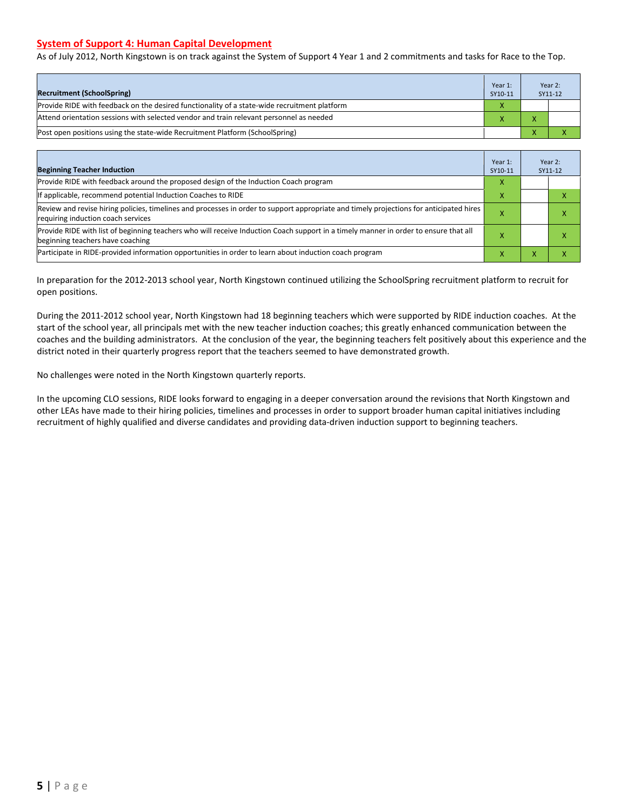#### **System of Support 4: Human Capital Development**

As of July 2012, North Kingstown is on track against the System of Support 4 Year 1 and 2 commitments and tasks for Race to the Top.

| <b>Recruitment (SchoolSpring)</b>                                                            | Year 1:<br>SY10-11 | Year 2:<br>SY11-12 |
|----------------------------------------------------------------------------------------------|--------------------|--------------------|
| Provide RIDE with feedback on the desired functionality of a state-wide recruitment platform | X                  |                    |
| Attend orientation sessions with selected vendor and train relevant personnel as needed      |                    |                    |
| Post open positions using the state-wide Recruitment Platform (SchoolSpring)                 |                    |                    |

| <b>Beginning Teacher Induction</b>                                                                                                                                            | Year 1:<br>SY10-11 |   | Year 2:<br>SY11-12 |
|-------------------------------------------------------------------------------------------------------------------------------------------------------------------------------|--------------------|---|--------------------|
| Provide RIDE with feedback around the proposed design of the Induction Coach program                                                                                          | x                  |   |                    |
| If applicable, recommend potential Induction Coaches to RIDE                                                                                                                  |                    |   |                    |
| Review and revise hiring policies, timelines and processes in order to support appropriate and timely projections for anticipated hires<br>requiring induction coach services |                    |   |                    |
| Provide RIDE with list of beginning teachers who will receive Induction Coach support in a timely manner in order to ensure that all<br>beginning teachers have coaching      |                    |   |                    |
| Participate in RIDE-provided information opportunities in order to learn about induction coach program                                                                        | ж                  | v |                    |

In preparation for the 2012-2013 school year, North Kingstown continued utilizing the SchoolSpring recruitment platform to recruit for open positions.

During the 2011-2012 school year, North Kingstown had 18 beginning teachers which were supported by RIDE induction coaches. At the start of the school year, all principals met with the new teacher induction coaches; this greatly enhanced communication between the coaches and the building administrators. At the conclusion of the year, the beginning teachers felt positively about this experience and the district noted in their quarterly progress report that the teachers seemed to have demonstrated growth.

No challenges were noted in the North Kingstown quarterly reports.

In the upcoming CLO sessions, RIDE looks forward to engaging in a deeper conversation around the revisions that North Kingstown and other LEAs have made to their hiring policies, timelines and processes in order to support broader human capital initiatives including recruitment of highly qualified and diverse candidates and providing data-driven induction support to beginning teachers.